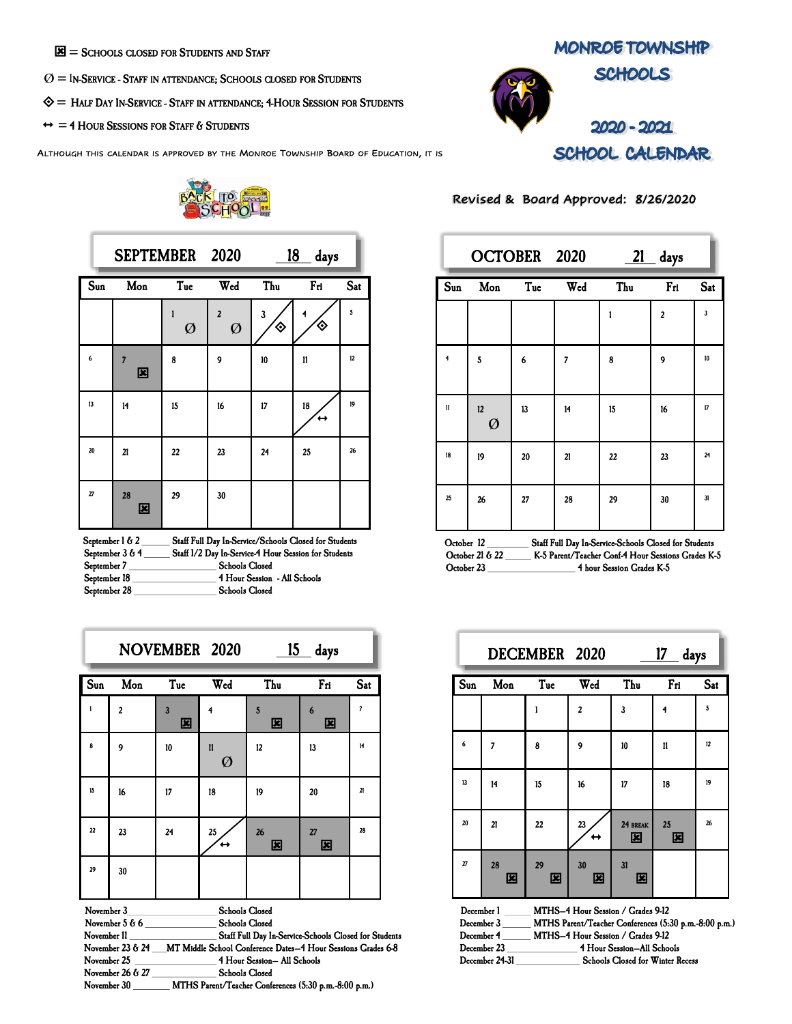$\mathbf{E}$  = SCHOOLS CLOSED FOR STUDENTS AND STAFF

- $O =$  In-Service Staff in attendance; Schools closed for Students
- $\diamondsuit$  = Half Day In-Service Staff in attendance; 4-Hour Session for Students
- $\leftrightarrow$  = 4 HOUR SESSIONS FOR STAFF  $6$  STUDENTS

ALTHOUGH THIS CALENDAR IS APPROVED BY THE MONROE TOWNSHIP BOARD OF EDUCATION, IT IS



|     | SEPTEMBER 2020      |        |                              |        | <u>18</u><br>days |     |
|-----|---------------------|--------|------------------------------|--------|-------------------|-----|
| Sun | Mon                 | Tue    | Wed                          | Thu    | Fri               | Sat |
|     |                     | ı<br>Ø | $\overline{\mathbf{c}}$<br>Ø | 3<br>♦ | 4<br>◈            | 5   |
| 6   | $\overline{7}$<br>図 | 8      | 9                            | 10     | 11                | 12  |
| 13  | 14                  | 15     | 16                           | 17     | 18                | 19  |
| 20  | 21                  | 22     | 23                           | 24     | 25                | 26  |
| 27  | 28<br>図             | 29     | 30                           |        |                   |     |

| September 1 & 2 | Staff Full Day In-Service/Schools Closed for Students |
|-----------------|-------------------------------------------------------|
| September 3 & 4 | Staff 1/2 Day In-Service-4 Hour Session for Students  |
| September 7     | <b>Schools Closed</b>                                 |
| September 18    | 4 Hour Session - All Schools                          |
| September 28    | <b>Schools Closed</b>                                 |

|              |                |                              | NOVEMBER 2020                                  |                                                | <u>15 days</u> |     |
|--------------|----------------|------------------------------|------------------------------------------------|------------------------------------------------|----------------|-----|
| Sun          | Mon            | Tue                          | Wed                                            | Thu                                            | Fri            | Sat |
| $\mathbf{1}$ | $\overline{z}$ | $\overline{\mathbf{3}}$<br>図 |                                                | 5<br>図                                         | 6<br>図         | 7   |
| 8            | 9              | 10                           | $\mathbf{u}$<br>Ø                              | 12                                             | 13             | 14  |
| 15           | 16             | 17                           | 18                                             | 19                                             | 20             | 21  |
| 22           | 23             | 24                           | 25                                             | 26<br>図                                        | 27<br>図        | 28  |
| 29           | 30             |                              |                                                |                                                |                |     |
| November 3   | November $566$ |                              | <b>Schools Closed</b><br><b>Schools Closed</b> | Carl Eatt Day L. Carrier Calcula Classifica Co |                |     |

| November 11        | Staff Full Day In-Service-Schools Closed for Students        |
|--------------------|--------------------------------------------------------------|
| November $23 & 24$ | MT Middle School Conference Dates-4 Hour Sessions Grades 6-8 |
| November 25        | 4 Hour Session- All Schools                                  |
| November 26 & 27   | <b>Schools Closed</b>                                        |
| November 30        | MTHS Parent/Teacher Conferences (5:30 p.m.-8:00 p.m.)        |

**MONROE TOWNSHIP SCHOOLS** 



2020 - 2021 SCHOOL CALENDAR

|                           |         | OCTOBER 2020 |     | 21  | days           |     |
|---------------------------|---------|--------------|-----|-----|----------------|-----|
| $\overline{\mathsf{Sun}}$ | Mon     | Tue          | Wed | Thu | Fri            | Sat |
|                           |         |              |     |     | $\overline{a}$ | 3   |
| $\ddot{\phantom{1}}$      | 5       | 6            | 7   | 8   | 9              | 10  |
| $\mathbf{n}$              | 12<br>Ø | 13           | 14  | 15  | 16             | 17  |
| 18                        | 19      | 20           | 21  | 22  | 23             | 24  |
| 25                        | 26      | 27           | 28  | 29  | 30             | 31  |

Revised & Board Approved: 8/26/2020

| October 12       | Staff Full Day In-Service-Schools Closed for Students |
|------------------|-------------------------------------------------------|
| October 21 $622$ | K-5 Parent/Teacher Conf-4 Hour Sessions Grades K-5    |
| October 23       | 4 hour Session Grades K-5                             |

|                 |         | DECEMBER 2020 |                |               | <u>17</u><br>days |     |
|-----------------|---------|---------------|----------------|---------------|-------------------|-----|
| S <sub>un</sub> | Mon     | Tue           | Wed            | Thu           | Fri               | Sat |
|                 |         |               | $\overline{2}$ | 3             | 4                 | 5   |
| 6               | 7       | 8             | 9              | 10            | 11                | 12  |
| 13              | 14      | 15            | 16             | 17            | 18                | 19  |
| 20              | 21      | 22            | 23             | 24 BREAK<br>図 | 25<br>図           | 26  |
| 27              | 28<br>図 | 29<br>図       | 30<br>⊠        | 31<br>図       |                   |     |

| December 1     | MTHS-4 Hour Session / Grades 9-12                     |
|----------------|-------------------------------------------------------|
| December 3     | MTHS Parent/Teacher Conferences (5:30 p.m.-8:00 p.m.) |
| December 4     | MTHS-4 Hour Session / Grades 9-12                     |
| December 23    | 4 Hour Session-All Schools                            |
| December 24-31 | <b>Schools Closed for Winter Recess</b>               |